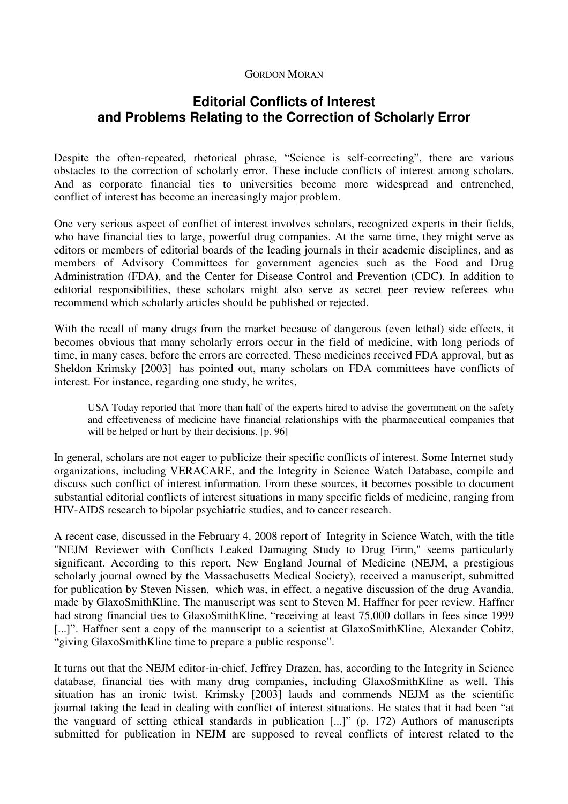## GORDON MORAN

## **Editorial Conflicts of Interest and Problems Relating to the Correction of Scholarly Error**

Despite the often-repeated, rhetorical phrase, "Science is self-correcting", there are various obstacles to the correction of scholarly error. These include conflicts of interest among scholars. And as corporate financial ties to universities become more widespread and entrenched, conflict of interest has become an increasingly major problem.

One very serious aspect of conflict of interest involves scholars, recognized experts in their fields, who have financial ties to large, powerful drug companies. At the same time, they might serve as editors or members of editorial boards of the leading journals in their academic disciplines, and as members of Advisory Committees for government agencies such as the Food and Drug Administration (FDA), and the Center for Disease Control and Prevention (CDC). In addition to editorial responsibilities, these scholars might also serve as secret peer review referees who recommend which scholarly articles should be published or rejected.

With the recall of many drugs from the market because of dangerous (even lethal) side effects, it becomes obvious that many scholarly errors occur in the field of medicine, with long periods of time, in many cases, before the errors are corrected. These medicines received FDA approval, but as Sheldon Krimsky [2003] has pointed out, many scholars on FDA committees have conflicts of interest. For instance, regarding one study, he writes,

USA Today reported that 'more than half of the experts hired to advise the government on the safety and effectiveness of medicine have financial relationships with the pharmaceutical companies that will be helped or hurt by their decisions. [p. 96]

In general, scholars are not eager to publicize their specific conflicts of interest. Some Internet study organizations, including VERACARE, and the Integrity in Science Watch Database, compile and discuss such conflict of interest information. From these sources, it becomes possible to document substantial editorial conflicts of interest situations in many specific fields of medicine, ranging from HIV-AIDS research to bipolar psychiatric studies, and to cancer research.

A recent case, discussed in the February 4, 2008 report of Integrity in Science Watch, with the title "NEJM Reviewer with Conflicts Leaked Damaging Study to Drug Firm," seems particularly significant. According to this report, New England Journal of Medicine (NEJM, a prestigious scholarly journal owned by the Massachusetts Medical Society), received a manuscript, submitted for publication by Steven Nissen, which was, in effect, a negative discussion of the drug Avandia, made by GlaxoSmithKline. The manuscript was sent to Steven M. Haffner for peer review. Haffner had strong financial ties to GlaxoSmithKline, "receiving at least 75,000 dollars in fees since 1999 [...]". Haffner sent a copy of the manuscript to a scientist at GlaxoSmithKline, Alexander Cobitz, "giving GlaxoSmithKline time to prepare a public response".

It turns out that the NEJM editor-in-chief, Jeffrey Drazen, has, according to the Integrity in Science database, financial ties with many drug companies, including GlaxoSmithKline as well. This situation has an ironic twist. Krimsky [2003] lauds and commends NEJM as the scientific journal taking the lead in dealing with conflict of interest situations. He states that it had been "at the vanguard of setting ethical standards in publication [...]" (p. 172) Authors of manuscripts submitted for publication in NEJM are supposed to reveal conflicts of interest related to the